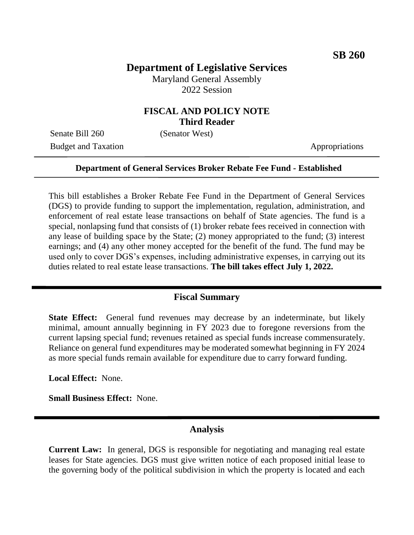# **Department of Legislative Services**

Maryland General Assembly 2022 Session

### **FISCAL AND POLICY NOTE Third Reader**

Senate Bill 260 (Senator West) Budget and Taxation Appropriations

#### **Department of General Services Broker Rebate Fee Fund - Established**

This bill establishes a Broker Rebate Fee Fund in the Department of General Services (DGS) to provide funding to support the implementation, regulation, administration, and enforcement of real estate lease transactions on behalf of State agencies. The fund is a special, nonlapsing fund that consists of (1) broker rebate fees received in connection with any lease of building space by the State; (2) money appropriated to the fund; (3) interest earnings; and (4) any other money accepted for the benefit of the fund. The fund may be used only to cover DGS's expenses, including administrative expenses, in carrying out its duties related to real estate lease transactions. **The bill takes effect July 1, 2022.**

#### **Fiscal Summary**

**State Effect:** General fund revenues may decrease by an indeterminate, but likely minimal, amount annually beginning in FY 2023 due to foregone reversions from the current lapsing special fund; revenues retained as special funds increase commensurately. Reliance on general fund expenditures may be moderated somewhat beginning in FY 2024 as more special funds remain available for expenditure due to carry forward funding.

**Local Effect:** None.

**Small Business Effect:** None.

#### **Analysis**

**Current Law:** In general, DGS is responsible for negotiating and managing real estate leases for State agencies. DGS must give written notice of each proposed initial lease to the governing body of the political subdivision in which the property is located and each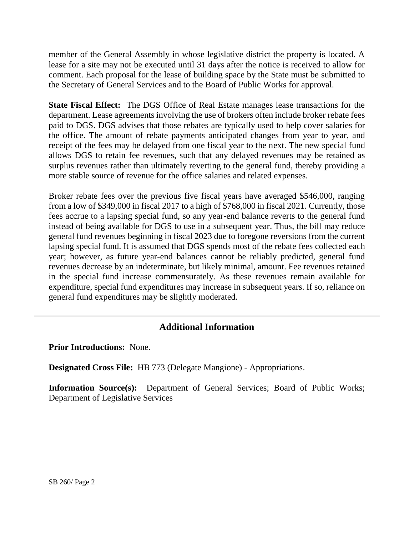member of the General Assembly in whose legislative district the property is located. A lease for a site may not be executed until 31 days after the notice is received to allow for comment. Each proposal for the lease of building space by the State must be submitted to the Secretary of General Services and to the Board of Public Works for approval.

**State Fiscal Effect:** The DGS Office of Real Estate manages lease transactions for the department. Lease agreements involving the use of brokers often include broker rebate fees paid to DGS. DGS advises that those rebates are typically used to help cover salaries for the office. The amount of rebate payments anticipated changes from year to year, and receipt of the fees may be delayed from one fiscal year to the next. The new special fund allows DGS to retain fee revenues, such that any delayed revenues may be retained as surplus revenues rather than ultimately reverting to the general fund, thereby providing a more stable source of revenue for the office salaries and related expenses.

Broker rebate fees over the previous five fiscal years have averaged \$546,000, ranging from a low of \$349,000 in fiscal 2017 to a high of \$768,000 in fiscal 2021. Currently, those fees accrue to a lapsing special fund, so any year-end balance reverts to the general fund instead of being available for DGS to use in a subsequent year. Thus, the bill may reduce general fund revenues beginning in fiscal 2023 due to foregone reversions from the current lapsing special fund. It is assumed that DGS spends most of the rebate fees collected each year; however, as future year-end balances cannot be reliably predicted, general fund revenues decrease by an indeterminate, but likely minimal, amount. Fee revenues retained in the special fund increase commensurately. As these revenues remain available for expenditure, special fund expenditures may increase in subsequent years. If so, reliance on general fund expenditures may be slightly moderated.

## **Additional Information**

**Prior Introductions:** None.

**Designated Cross File:** HB 773 (Delegate Mangione) - Appropriations.

**Information Source(s):** Department of General Services; Board of Public Works; Department of Legislative Services